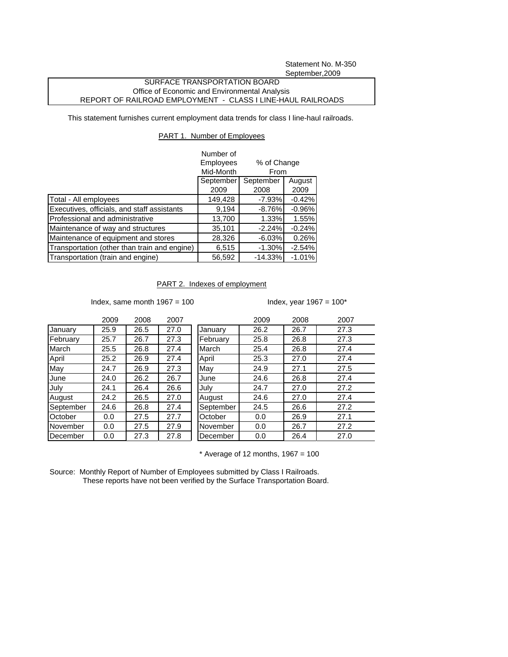Statement No. M-350 September,2009

## SURFACE TRANSPORTATION BOARD Office of Economic and Environmental Analysis REPORT OF RAILROAD EMPLOYMENT - CLASS I LINE-HAUL RAILROADS

This statement furnishes current employment data trends for class I line-haul railroads.

## PART 1. Number of Employees

|                                              | Number of                |             |          |  |
|----------------------------------------------|--------------------------|-------------|----------|--|
|                                              | <b>Employees</b>         | % of Change |          |  |
|                                              | Mid-Month<br><b>From</b> |             |          |  |
|                                              | September                | September   | August   |  |
|                                              | 2009                     | 2008        | 2009     |  |
| Total - All employees                        | 149,428                  | $-7.93%$    | $-0.42%$ |  |
| Executives, officials, and staff assistants  | 9,194                    | $-8.76%$    | $-0.96%$ |  |
| Professional and administrative              | 13,700                   | 1.33%       | 1.55%    |  |
| Maintenance of way and structures            | 35,101                   | $-2.24%$    | $-0.24%$ |  |
| Maintenance of equipment and stores          | 28,326                   | $-6.03%$    | 0.26%    |  |
| Transportation (other than train and engine) | 6,515                    | $-1.30%$    | $-2.54%$ |  |
| Transportation (train and engine)            | 56,592                   | $-14.33%$   | $-1.01%$ |  |

## PART 2. Indexes of employment

Index, same month  $1967 = 100$  Index, year  $1967 = 100^*$ 

|           | 2009 | 2008 | 2007 |
|-----------|------|------|------|
| January   | 25.9 | 26.5 | 27.0 |
| February  | 25.7 | 26.7 | 27.3 |
| March     | 25.5 | 26.8 | 27.4 |
| April     | 25.2 | 26.9 | 27.4 |
| May       | 24.7 | 26.9 | 27.3 |
| June      | 24.0 | 26.2 | 26.7 |
| July      | 24.1 | 26.4 | 26.6 |
| August    | 24.2 | 26.5 | 27.0 |
| September | 24.6 | 26.8 | 27.4 |
| October   | 0.0  | 27.5 | 27.7 |
| November  | 0.0  | 27.5 | 27.9 |
| December  | 0.0  | 27.3 | 27.8 |

|           | 2009 | 2008 | 2007 |           | 2009 | 2008 | 2007 |
|-----------|------|------|------|-----------|------|------|------|
| January   | 25.9 | 26.5 | 27.0 | January   | 26.2 | 26.7 | 27.3 |
| February  | 25.7 | 26.7 | 27.3 | February  | 25.8 | 26.8 | 27.3 |
| March     | 25.5 | 26.8 | 27.4 | March     | 25.4 | 26.8 | 27.4 |
| April     | 25.2 | 26.9 | 27.4 | April     | 25.3 | 27.0 | 27.4 |
| May       | 24.7 | 26.9 | 27.3 | May       | 24.9 | 27.1 | 27.5 |
| June      | 24.0 | 26.2 | 26.7 | June      | 24.6 | 26.8 | 27.4 |
| July      | 24.1 | 26.4 | 26.6 | July      | 24.7 | 27.0 | 27.2 |
| August    | 24.2 | 26.5 | 27.0 | August    | 24.6 | 27.0 | 27.4 |
| September | 24.6 | 26.8 | 27.4 | September | 24.5 | 26.6 | 27.2 |
| October   | 0.0  | 27.5 | 27.7 | October   | 0.0  | 26.9 | 27.1 |
| November  | 0.0  | 27.5 | 27.9 | November  | 0.0  | 26.7 | 27.2 |
| December  | 0.0  | 27.3 | 27.8 | December  | 0.0  | 26.4 | 27.0 |
|           |      |      |      |           |      |      |      |

 $*$  Average of 12 months, 1967 = 100

Source: Monthly Report of Number of Employees submitted by Class I Railroads. These reports have not been verified by the Surface Transportation Board.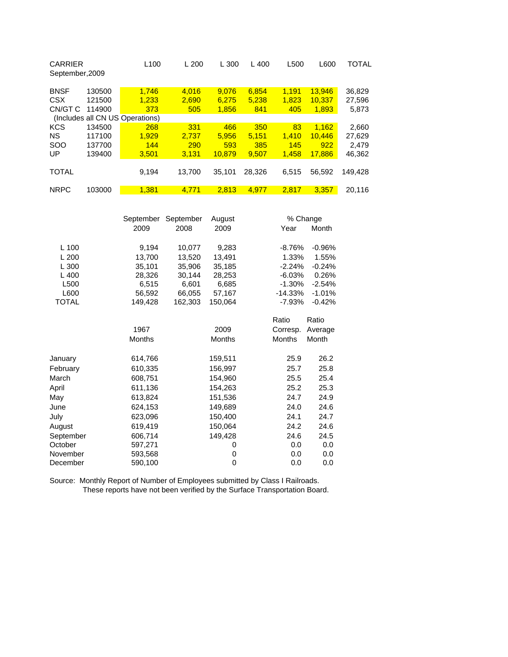| <b>CARRIER</b><br>September, 2009 |        | L <sub>100</sub>                | L200   | L 300  | 400<br>L | L500  | L600   | TOTAL   |
|-----------------------------------|--------|---------------------------------|--------|--------|----------|-------|--------|---------|
| <b>BNSF</b>                       | 130500 | 1,746                           | 4.016  | 9,076  | 6,854    | 1.191 | 13,946 | 36,829  |
| <b>CSX</b>                        | 121500 | 1.233                           | 2.690  | 6,275  | 5,238    | 1.823 | 10,337 | 27,596  |
| CN/GT C                           | 114900 | 373                             | 505    | 1,856  | 841      | 405   | 1,893  | 5,873   |
|                                   |        | (Includes all CN US Operations) |        |        |          |       |        |         |
| <b>KCS</b>                        | 134500 | 268                             | 331    | 466    | 350      | 83    | 1.162  | 2,660   |
| <b>NS</b>                         | 117100 | 1.929                           | 2.737  | 5.956  | 5.151    | 1.410 | 10.446 | 27,629  |
| <b>SOO</b>                        | 137700 | 144                             | 290    | 593    | 385      | 145   | 922    | 2.479   |
| UP                                | 139400 | 3.501                           | 3.131  | 10.879 | 9.507    | 1.458 | 17.886 | 46,362  |
|                                   |        |                                 |        |        |          |       |        |         |
| <b>TOTAL</b>                      |        | 9.194                           | 13,700 | 35,101 | 28.326   | 6,515 | 56.592 | 149.428 |
|                                   |        |                                 |        |        |          |       |        |         |
| <b>NRPC</b>                       | 103000 | 1.381                           | 4.771  | 2.813  | 4.977    | 2.817 | 3.357  | 20.116  |

|              | September     | September | August        |               | % Change |
|--------------|---------------|-----------|---------------|---------------|----------|
|              | 2009          | 2008      | 2009          | Year          | Month    |
|              |               |           |               |               |          |
| L 100        | 9,194         | 10,077    | 9,283         | $-8.76%$      | $-0.96%$ |
| L200         | 13,700        | 13,520    | 13.491        | 1.33%         | 1.55%    |
| L300         | 35,101        | 35,906    | 35,185        | $-2.24%$      | $-0.24%$ |
| $L$ 400      | 28,326        | 30,144    | 28,253        | $-6.03%$      | 0.26%    |
| L500         | 6,515         | 6,601     | 6,685         | $-1.30%$      | $-2.54%$ |
| L600         | 56,592        | 66,055    | 57,167        | $-14.33%$     | $-1.01%$ |
| <b>TOTAL</b> | 149,428       | 162,303   | 150,064       | -7.93%        | $-0.42%$ |
|              |               |           |               | Ratio         | Ratio    |
|              | 1967          |           | 2009          | Corresp.      | Average  |
|              | <b>Months</b> |           | <b>Months</b> | <b>Months</b> | Month    |
| January      | 614,766       |           | 159,511       | 25.9          | 26.2     |
| February     | 610,335       |           | 156,997       | 25.7          | 25.8     |
| March        | 608,751       |           | 154,960       | 25.5          | 25.4     |
| April        | 611,136       |           | 154,263       | 25.2          | 25.3     |
| May          | 613,824       |           | 151,536       | 24.7          | 24.9     |
| June         | 624,153       |           | 149,689       | 24.0          | 24.6     |
| July         | 623,096       |           | 150,400       | 24.1          | 24.7     |
| August       | 619,419       |           | 150,064       | 24.2          | 24.6     |
| September    | 606,714       |           | 149,428       | 24.6          | 24.5     |
| October      | 597,271       |           | 0             | 0.0           | 0.0      |
| November     | 593,568       |           | 0             | 0.0           | 0.0      |
| December     | 590,100       |           | 0             | 0.0           | 0.0      |

Source: Monthly Report of Number of Employees submitted by Class I Railroads. These reports have not been verified by the Surface Transportation Board.